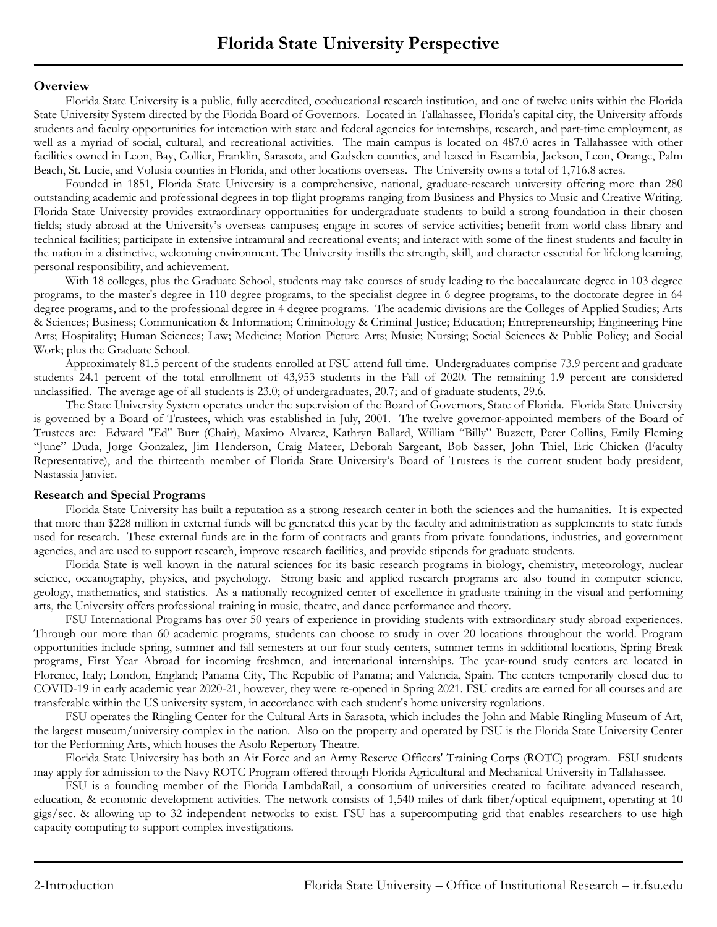## **Overview**

Florida State University is a public, fully accredited, coeducational research institution, and one of twelve units within the Florida State University System directed by the Florida Board of Governors. Located in Tallahassee, Florida's capital city, the University affords students and faculty opportunities for interaction with state and federal agencies for internships, research, and part-time employment, as well as a myriad of social, cultural, and recreational activities. The main campus is located on 487.0 acres in Tallahassee with other facilities owned in Leon, Bay, Collier, Franklin, Sarasota, and Gadsden counties, and leased in Escambia, Jackson, Leon, Orange, Palm Beach, St. Lucie, and Volusia counties in Florida, and other locations overseas. The University owns a total of 1,716.8 acres.

Founded in 1851, Florida State University is a comprehensive, national, graduate-research university offering more than 280 outstanding academic and professional degrees in top flight programs ranging from Business and Physics to Music and Creative Writing. Florida State University provides extraordinary opportunities for undergraduate students to build a strong foundation in their chosen fields; study abroad at the University's overseas campuses; engage in scores of service activities; benefit from world class library and technical facilities; participate in extensive intramural and recreational events; and interact with some of the finest students and faculty in the nation in a distinctive, welcoming environment. The University instills the strength, skill, and character essential for lifelong learning, personal responsibility, and achievement.

With 18 colleges, plus the Graduate School, students may take courses of study leading to the baccalaureate degree in 103 degree programs, to the master's degree in 110 degree programs, to the specialist degree in 6 degree programs, to the doctorate degree in 64 degree programs, and to the professional degree in 4 degree programs. The academic divisions are the Colleges of Applied Studies; Arts & Sciences; Business; Communication & Information; Criminology & Criminal Justice; Education; Entrepreneurship; Engineering; Fine Arts; Hospitality; Human Sciences; Law; Medicine; Motion Picture Arts; Music; Nursing; Social Sciences & Public Policy; and Social Work; plus the Graduate School.

Approximately 81.5 percent of the students enrolled at FSU attend full time. Undergraduates comprise 73.9 percent and graduate students 24.1 percent of the total enrollment of 43,953 students in the Fall of 2020. The remaining 1.9 percent are considered unclassified. The average age of all students is 23.0; of undergraduates, 20.7; and of graduate students, 29.6.

The State University System operates under the supervision of the Board of Governors, State of Florida. Florida State University is governed by a Board of Trustees, which was established in July, 2001. The twelve governor-appointed members of the Board of Trustees are: Edward "Ed" Burr (Chair), Maximo Alvarez, Kathryn Ballard, William "Billy" Buzzett, Peter Collins, Emily Fleming "June" Duda, Jorge Gonzalez, Jim Henderson, Craig Mateer, Deborah Sargeant, Bob Sasser, John Thiel, Eric Chicken (Faculty Representative), and the thirteenth member of Florida State University's Board of Trustees is the current student body president, Nastassia Janvier.

## **Research and Special Programs**

Florida State University has built a reputation as a strong research center in both the sciences and the humanities. It is expected that more than \$228 million in external funds will be generated this year by the faculty and administration as supplements to state funds used for research. These external funds are in the form of contracts and grants from private foundations, industries, and government agencies, and are used to support research, improve research facilities, and provide stipends for graduate students.

Florida State is well known in the natural sciences for its basic research programs in biology, chemistry, meteorology, nuclear science, oceanography, physics, and psychology. Strong basic and applied research programs are also found in computer science, geology, mathematics, and statistics. As a nationally recognized center of excellence in graduate training in the visual and performing arts, the University offers professional training in music, theatre, and dance performance and theory.

FSU International Programs has over 50 years of experience in providing students with extraordinary study abroad experiences. Through our more than 60 academic programs, students can choose to study in over 20 locations throughout the world. Program opportunities include spring, summer and fall semesters at our four study centers, summer terms in additional locations, Spring Break programs, First Year Abroad for incoming freshmen, and international internships. The year-round study centers are located in Florence, Italy; London, England; Panama City, The Republic of Panama; and Valencia, Spain. The centers temporarily closed due to COVID-19 in early academic year 2020-21, however, they were re-opened in Spring 2021. FSU credits are earned for all courses and are transferable within the US university system, in accordance with each student's home university regulations.

FSU operates the Ringling Center for the Cultural Arts in Sarasota, which includes the John and Mable Ringling Museum of Art, the largest museum/university complex in the nation. Also on the property and operated by FSU is the Florida State University Center for the Performing Arts, which houses the Asolo Repertory Theatre.

Florida State University has both an Air Force and an Army Reserve Officers' Training Corps (ROTC) program. FSU students may apply for admission to the Navy ROTC Program offered through Florida Agricultural and Mechanical University in Tallahassee.

FSU is a founding member of the Florida LambdaRail, a consortium of universities created to facilitate advanced research, education, & economic development activities. The network consists of 1,540 miles of dark fiber/optical equipment, operating at 10 gigs/sec. & allowing up to 32 independent networks to exist. FSU has a supercomputing grid that enables researchers to use high capacity computing to support complex investigations.